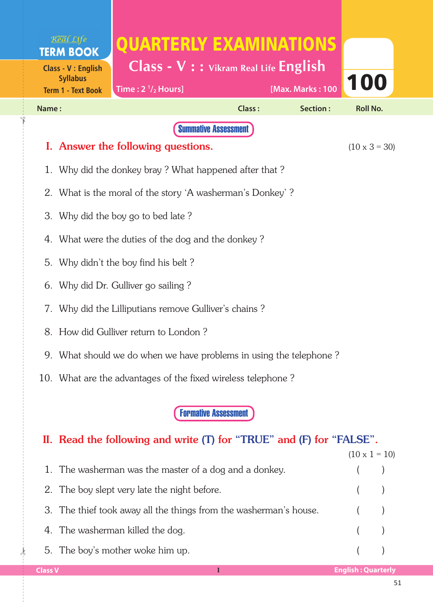| Real Life<br><b>TERM BOOK</b><br><b>Class - V: English</b><br><b>Syllabus</b><br><b>Term 1 - Text Book</b> | QUARTERLY EXAMINATIONS<br>Class - V : : Vikram Real Life English<br>Time: $2 \frac{1}{2}$ Hours]    |        | [Max. Marks: 100 | 100                  |
|------------------------------------------------------------------------------------------------------------|-----------------------------------------------------------------------------------------------------|--------|------------------|----------------------|
| Name:                                                                                                      |                                                                                                     | Class: | Section:         | <b>Roll No.</b>      |
|                                                                                                            | <b>Summative Assessment</b>                                                                         |        |                  |                      |
|                                                                                                            | I. Answer the following questions.                                                                  |        |                  | $(10 \times 3 = 30)$ |
| 1.                                                                                                         | Why did the donkey bray? What happened after that?                                                  |        |                  |                      |
|                                                                                                            | 2. What is the moral of the story 'A washerman's Donkey'?                                           |        |                  |                      |
| 3.                                                                                                         | Why did the boy go to bed late?                                                                     |        |                  |                      |
|                                                                                                            | 4. What were the duties of the dog and the donkey?                                                  |        |                  |                      |
| 5.                                                                                                         | Why didn't the boy find his belt?                                                                   |        |                  |                      |
| 6.                                                                                                         | Why did Dr. Gulliver go sailing?                                                                    |        |                  |                      |
| 7.                                                                                                         | Why did the Lilliputians remove Gulliver's chains?                                                  |        |                  |                      |
|                                                                                                            | 8. How did Gulliver return to London?                                                               |        |                  |                      |
|                                                                                                            | 9. What should we do when we have problems in using the telephone?                                  |        |                  |                      |
|                                                                                                            | 10. What are the advantages of the fixed wireless telephone?                                        |        |                  |                      |
|                                                                                                            | <b>Formative Assessment</b><br>II. Read the following and write (T) for "TRUE" and (F) for "FALSE". |        |                  |                      |

|                                                                   | $(10 \times 1 = 10)$ |  |
|-------------------------------------------------------------------|----------------------|--|
| 1. The washerman was the master of a dog and a donkey.            |                      |  |
| 2. The boy slept very late the night before.                      | $($ )                |  |
| 3. The thief took away all the things from the washerman's house. |                      |  |
| 4. The washerman killed the dog.                                  | $($ $)$              |  |
| 5. The boy's mother woke him up.                                  |                      |  |

 $\frac{1}{2}$ 

✁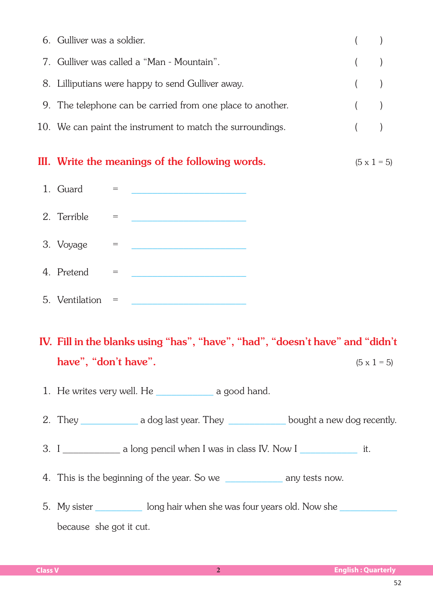| 6. Gulliver was a soldier.                                 |       |  |
|------------------------------------------------------------|-------|--|
| 7. Gulliver was called a "Man - Mountain".                 | $($ ) |  |
| 8. Lilliputians were happy to send Gulliver away.          | $($ ) |  |
| 9. The telephone can be carried from one place to another. |       |  |
| 10. We can paint the instrument to match the surroundings. |       |  |
|                                                            |       |  |

## III. Write the meanings of the following words.  $(5 \times 1 = 5)$



## IV. Fill in the blanks using "has", "have", "had", "doesn't have" and "didn't have", "don't have".  $(5 \times 1 = 5)$

1. He writes very well. He a good hand.

- 2. They a dog last year. They bought a new dog recently.
- 3. I \_\_\_\_\_\_\_\_\_\_\_\_ a long pencil when I was in class IV. Now I \_\_\_\_\_\_\_\_\_\_\_\_\_\_\_ it.
- 4. This is the beginning of the year. So we \_\_\_\_\_\_\_\_\_\_\_\_\_\_ any tests now.
- 5. My sister \_\_\_\_\_\_\_\_\_\_\_ long hair when she was four years old. Now she \_\_\_\_\_\_\_\_ because she got it cut.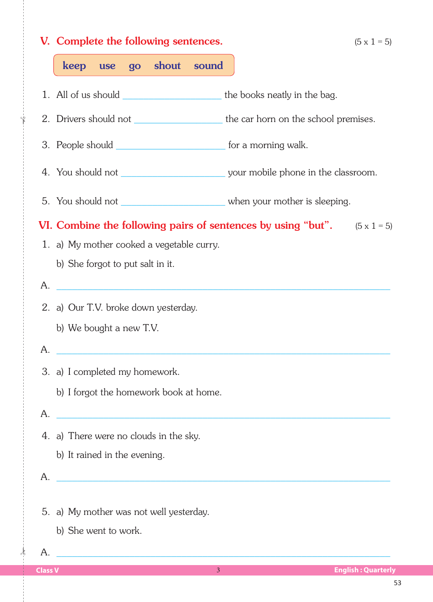|                | V. Complete the following sentences.                                                                                   | $(5 \times 1 = 5)$        |
|----------------|------------------------------------------------------------------------------------------------------------------------|---------------------------|
|                | keep use go shout sound                                                                                                |                           |
|                | 1. All of us should <u>second and the books neatly in the bag</u> .                                                    |                           |
|                | 2. Drivers should not ________________________the car horn on the school premises.                                     |                           |
|                | 3. People should ________________________________ for a morning walk.                                                  |                           |
|                |                                                                                                                        |                           |
|                | 5. You should not ________________________________ when your mother is sleeping.                                       |                           |
|                | <b>VI.</b> Combine the following pairs of sentences by using "but". $(5 \times 1 = 5)$                                 |                           |
|                | 1. a) My mother cooked a vegetable curry.                                                                              |                           |
|                | b) She forgot to put salt in it.                                                                                       |                           |
| Α.             | <u> 1999 - Johann Barn, mars ann an t-Amhain ann an t-Amhain an t-Amhain an t-Amhain an t-Amhain an t-Amhain an t-</u> |                           |
|                | 2. a) Our T.V. broke down yesterday.                                                                                   |                           |
|                | b) We bought a new T.V.                                                                                                |                           |
| A.             |                                                                                                                        |                           |
|                | 3. a) I completed my homework.                                                                                         |                           |
|                | b) I forgot the homework book at home.                                                                                 |                           |
| Α.             | <u> 1980 - Johann John Stone, mars eta biztanleria (h. 1980).</u>                                                      |                           |
|                | 4. a) There were no clouds in the sky.                                                                                 |                           |
|                | b) It rained in the evening.                                                                                           |                           |
| А.             | <u> 1980 - Johann John Stone, mars eta biztanleria (</u>                                                               |                           |
|                |                                                                                                                        |                           |
|                | 5. a) My mother was not well yesterday.                                                                                |                           |
|                | b) She went to work.                                                                                                   |                           |
| А.             |                                                                                                                        |                           |
| <b>Class V</b> | $\overline{3}$                                                                                                         | <b>English: Quarterly</b> |

 $\frac{1}{2}$ 

✁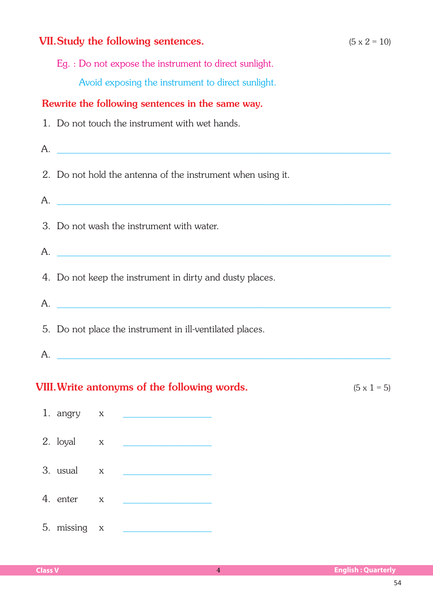## **VII. Study the following sentences.**  $(5 \times 2 = 10)$  Eg. : Do not expose the instrument to direct sunlight. Avoid exposing the instrument to direct sunlight. Rewrite the following sentences in the same way. 1. Do not touch the instrument with wet hands.  $A.$  2. Do not hold the antenna of the instrument when using it.  $A.$  3. Do not wash the instrument with water.  $A.$  4. Do not keep the instrument in dirty and dusty places.  $A.$  5. Do not place the instrument in ill-ventilated places.  $A.$ **VIII. Write antonyms of the following words.**  $(5 \times 1 = 5)$

## 1. angry x 2. loyal x 3. usual  $\quad x$ 4. enter x 5. missing ×x \_\_\_\_\_\_\_\_\_\_\_\_\_\_\_\_\_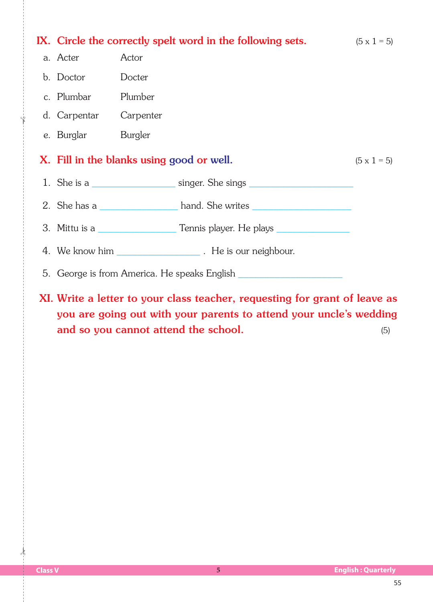| IX. Circle the correctly spelt word in the following sets. $(5 \times 1 = 5)$ |                                                                                  |                    |
|-------------------------------------------------------------------------------|----------------------------------------------------------------------------------|--------------------|
| a. Acter                                                                      | Actor                                                                            |                    |
| b. Doctor Docter                                                              |                                                                                  |                    |
| c. Plumbar Plumber                                                            |                                                                                  |                    |
| d. Carpentar Carpenter                                                        |                                                                                  |                    |
| e. Burglar Burgler                                                            |                                                                                  |                    |
|                                                                               | X. Fill in the blanks using good or well.                                        | $(5 \times 1 = 5)$ |
|                                                                               | 1. She is a singer. She sings                                                    |                    |
|                                                                               | 2. She has a _______________________ hand. She writes __________________________ |                    |
|                                                                               | 3. Mittu is a ___________________Tennis player. He plays _______________________ |                    |
|                                                                               |                                                                                  |                    |
|                                                                               | 5. George is from America. He speaks English ___________________________________ |                    |
|                                                                               | XI. Write a letter to your class teacher, requesting for grant of leave as       |                    |

you are going out with your parents to attend your uncle's wedding and so you cannot attend the school. (5)

 $\frac{1}{2}$ 

✁